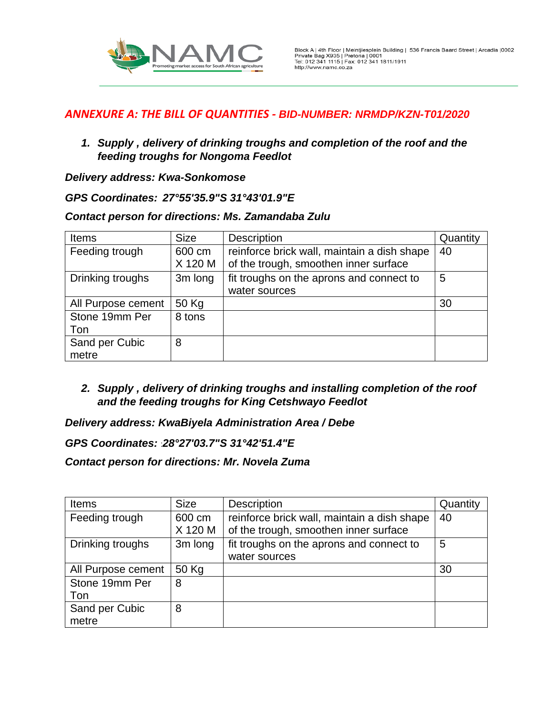

*1. Supply , delivery of drinking troughs and completion of the roof and the feeding troughs for Nongoma Feedlot*

## *Delivery address: Kwa-Sonkomose*

## *GPS Coordinates: 27°55'35.9"S 31°43'01.9"E*

### *Contact person for directions: Ms. Zamandaba Zulu*

| <b>Items</b>            | <b>Size</b>       | <b>Description</b>                                                                   | Quantity |
|-------------------------|-------------------|--------------------------------------------------------------------------------------|----------|
| Feeding trough          | 600 cm<br>X 120 M | reinforce brick wall, maintain a dish shape<br>of the trough, smoothen inner surface | 40       |
| Drinking troughs        | 3m long           | fit troughs on the aprons and connect to                                             | 5        |
|                         |                   | water sources                                                                        |          |
| All Purpose cement      | 50 Kg             |                                                                                      | 30       |
| Stone 19mm Per          | 8 tons            |                                                                                      |          |
| Ton                     |                   |                                                                                      |          |
| Sand per Cubic<br>metre | 8                 |                                                                                      |          |
|                         |                   |                                                                                      |          |

*2. Supply , delivery of drinking troughs and installing completion of the roof and the feeding troughs for King Cetshwayo Feedlot* 

## *Delivery address: KwaBiyela Administration Area / Debe*

### *GPS Coordinates:* :*28°27'03.7"S 31°42'51.4"E*

*Contact person for directions: Mr. Novela Zuma*

| Items                   | <b>Size</b>       | Description                                                                          | Quantity |
|-------------------------|-------------------|--------------------------------------------------------------------------------------|----------|
| Feeding trough          | 600 cm<br>X 120 M | reinforce brick wall, maintain a dish shape<br>of the trough, smoothen inner surface | 40       |
| Drinking troughs        | 3m long           | fit troughs on the aprons and connect to<br>water sources                            | 5        |
| All Purpose cement      | 50 Kg             |                                                                                      | 30       |
| Stone 19mm Per<br>Ton   | 8                 |                                                                                      |          |
| Sand per Cubic<br>metre | 8                 |                                                                                      |          |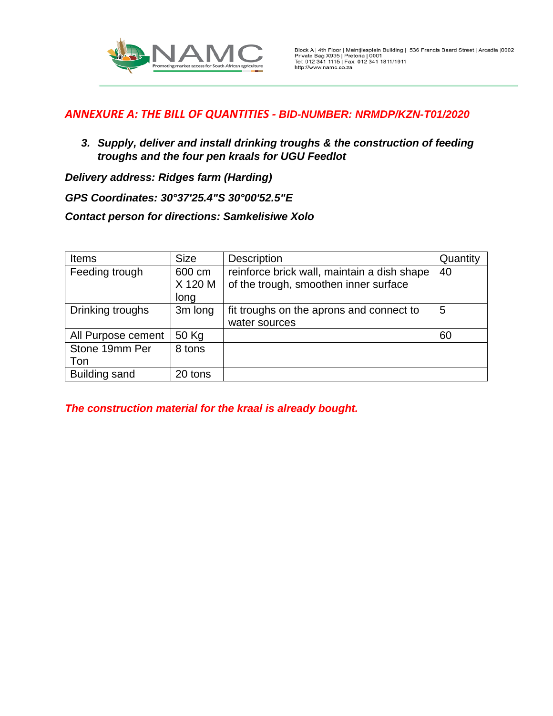

*3. Supply, deliver and install drinking troughs & the construction of feeding troughs and the four pen kraals for UGU Feedlot* 

*Delivery address: Ridges farm (Harding)*

*GPS Coordinates: 30°37'25.4"S 30°00'52.5"E*

*Contact person for directions: Samkelisiwe Xolo*

| <b>Items</b>         | <b>Size</b> | <b>Description</b>                          | Quantity |
|----------------------|-------------|---------------------------------------------|----------|
| Feeding trough       | 600 cm      | reinforce brick wall, maintain a dish shape | 40       |
|                      | X 120 M     | of the trough, smoothen inner surface       |          |
|                      | long        |                                             |          |
| Drinking troughs     | 3m long     | fit troughs on the aprons and connect to    | 5        |
|                      |             | water sources                               |          |
| All Purpose cement   | 50 Kg       |                                             | 60       |
| Stone 19mm Per       | 8 tons      |                                             |          |
| Ton                  |             |                                             |          |
| <b>Building sand</b> | 20 tons     |                                             |          |

*The construction material for the kraal is already bought.*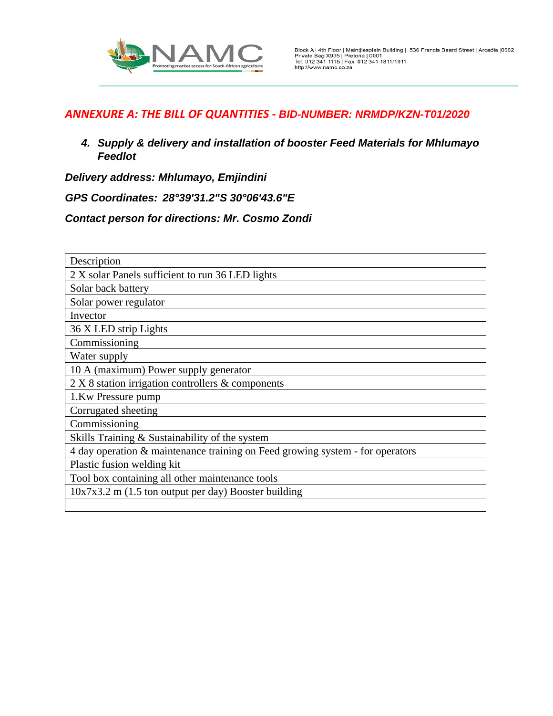

*4. Supply & delivery and installation of booster Feed Materials for Mhlumayo Feedlot* 

*Delivery address: Mhlumayo, Emjindini*

*GPS Coordinates: 28°39'31.2"S 30°06'43.6"E*

*Contact person for directions: Mr. Cosmo Zondi*

| Description                                                                   |  |  |  |  |
|-------------------------------------------------------------------------------|--|--|--|--|
| 2 X solar Panels sufficient to run 36 LED lights                              |  |  |  |  |
| Solar back battery                                                            |  |  |  |  |
| Solar power regulator                                                         |  |  |  |  |
| Invector                                                                      |  |  |  |  |
| 36 X LED strip Lights                                                         |  |  |  |  |
| Commissioning                                                                 |  |  |  |  |
| Water supply                                                                  |  |  |  |  |
| 10 A (maximum) Power supply generator                                         |  |  |  |  |
| 2 X 8 station irrigation controllers & components                             |  |  |  |  |
| 1.Kw Pressure pump                                                            |  |  |  |  |
| Corrugated sheeting                                                           |  |  |  |  |
| Commissioning                                                                 |  |  |  |  |
| Skills Training & Sustainability of the system                                |  |  |  |  |
| 4 day operation & maintenance training on Feed growing system - for operators |  |  |  |  |
| Plastic fusion welding kit                                                    |  |  |  |  |
| Tool box containing all other maintenance tools                               |  |  |  |  |
| $10x7x3.2$ m (1.5 ton output per day) Booster building                        |  |  |  |  |
|                                                                               |  |  |  |  |